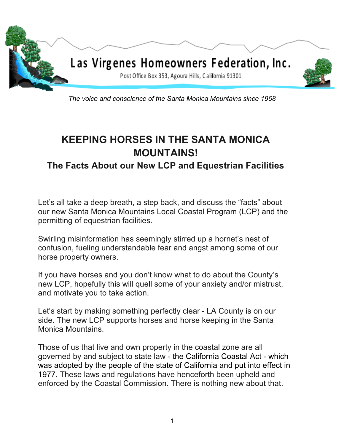

*The voice and conscience of the Santa Monica Mountains since 1968*

# **KEEPING HORSES IN THE SANTA MONICA MOUNTAINS!**

# **The Facts About our New LCP and Equestrian Facilities**

Let's all take a deep breath, a step back, and discuss the "facts" about our new Santa Monica Mountains Local Coastal Program (LCP) and the permitting of equestrian facilities.

Swirling misinformation has seemingly stirred up a hornet's nest of confusion, fueling understandable fear and angst among some of our horse property owners.

If you have horses and you don't know what to do about the County's new LCP, hopefully this will quell some of your anxiety and/or mistrust, and motivate you to take action.

Let's start by making something perfectly clear - LA County is on our side. The new LCP supports horses and horse keeping in the Santa Monica Mountains.

Those of us that live and own property in the coastal zone are all governed by and subject to state law - the California Coastal Act - which was adopted by the people of the state of California and put into effect in 1977. These laws and regulations have henceforth been upheld and enforced by the Coastal Commission. There is nothing new about that.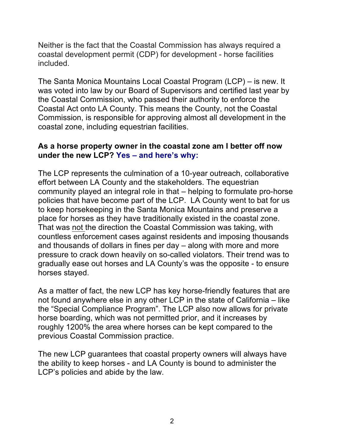Neither is the fact that the Coastal Commission has always required a coastal development permit (CDP) for development - horse facilities included.

The Santa Monica Mountains Local Coastal Program (LCP) – is new. It was voted into law by our Board of Supervisors and certified last year by the Coastal Commission, who passed their authority to enforce the Coastal Act onto LA County. This means the County, not the Coastal Commission, is responsible for approving almost all development in the coastal zone, including equestrian facilities.

### **As a horse property owner in the coastal zone am I better off now under the new LCP? Yes – and here's why:**

The LCP represents the culmination of a 10-year outreach, collaborative effort between LA County and the stakeholders. The equestrian community played an integral role in that – helping to formulate pro-horse policies that have become part of the LCP. LA County went to bat for us to keep horsekeeping in the Santa Monica Mountains and preserve a place for horses as they have traditionally existed in the coastal zone. That was not the direction the Coastal Commission was taking, with countless enforcement cases against residents and imposing thousands and thousands of dollars in fines per day – along with more and more pressure to crack down heavily on so-called violators. Their trend was to gradually ease out horses and LA County's was the opposite - to ensure horses stayed.

As a matter of fact, the new LCP has key horse-friendly features that are not found anywhere else in any other LCP in the state of California – like the "Special Compliance Program". The LCP also now allows for private horse boarding, which was not permitted prior, and it increases by roughly 1200% the area where horses can be kept compared to the previous Coastal Commission practice.

The new LCP guarantees that coastal property owners will always have the ability to keep horses - and LA County is bound to administer the LCP's policies and abide by the law.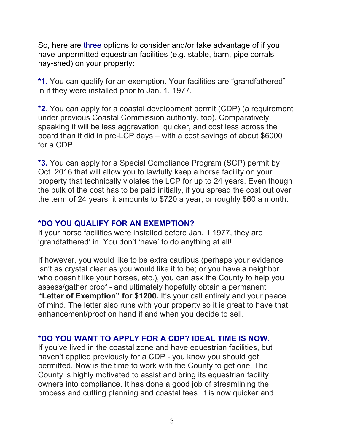So, here are three options to consider and/or take advantage of if you have unpermitted equestrian facilities (e.g. stable, barn, pipe corrals, hay-shed) on your property:

**\*1.** You can qualify for an exemption. Your facilities are "grandfathered" in if they were installed prior to Jan. 1, 1977.

**\*2**. You can apply for a coastal development permit (CDP) (a requirement under previous Coastal Commission authority, too). Comparatively speaking it will be less aggravation, quicker, and cost less across the board than it did in pre-LCP days – with a cost savings of about \$6000 for a CDP.

**\*3.** You can apply for a Special Compliance Program (SCP) permit by Oct. 2016 that will allow you to lawfully keep a horse facility on your property that technically violates the LCP for up to 24 years. Even though the bulk of the cost has to be paid initially, if you spread the cost out over the term of 24 years, it amounts to \$720 a year, or roughly \$60 a month.

### **\*DO YOU QUALIFY FOR AN EXEMPTION?**

If your horse facilities were installed before Jan. 1 1977, they are 'grandfathered' in. You don't 'have' to do anything at all!

If however, you would like to be extra cautious (perhaps your evidence isn't as crystal clear as you would like it to be; or you have a neighbor who doesn't like your horses, etc.), you can ask the County to help you assess/gather proof - and ultimately hopefully obtain a permanent **"Letter of Exemption" for \$1200.** It's your call entirely and your peace of mind. The letter also runs with your property so it is great to have that enhancement/proof on hand if and when you decide to sell.

### **\*DO YOU WANT TO APPLY FOR A CDP? IDEAL TIME IS NOW.**

If you've lived in the coastal zone and have equestrian facilities, but haven't applied previously for a CDP - you know you should get permitted. Now is the time to work with the County to get one. The County is highly motivated to assist and bring its equestrian facility owners into compliance. It has done a good job of streamlining the process and cutting planning and coastal fees. It is now quicker and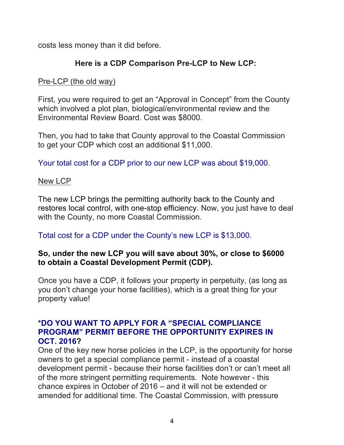costs less money than it did before.

# **Here is a CDP Comparison Pre-LCP to New LCP:**

# Pre-LCP (the old way)

First, you were required to get an "Approval in Concept" from the County which involved a plot plan, biological/environmental review and the Environmental Review Board. Cost was \$8000.

Then, you had to take that County approval to the Coastal Commission to get your CDP which cost an additional \$11,000.

Your total cost for a CDP prior to our new LCP was about \$19,000.

### New LCP

The new LCP brings the permitting authority back to the County and restores local control, with one-stop efficiency. Now, you just have to deal with the County, no more Coastal Commission.

# Total cost for a CDP under the County's new LCP is \$13,000.

## **So, under the new LCP you will save about 30%, or close to \$6000 to obtain a Coastal Development Permit (CDP).**

Once you have a CDP, it follows your property in perpetuity, (as long as you don't change your horse facilities), which is a great thing for your property value!

### **\*DO YOU WANT TO APPLY FOR A "SPECIAL COMPLIANCE PROGRAM" PERMIT BEFORE THE OPPORTUNITY EXPIRES IN OCT. 2016?**

One of the key new horse policies in the LCP, is the opportunity for horse owners to get a special compliance permit - instead of a coastal development permit - because their horse facilities don't or can't meet all of the more stringent permitting requirements. Note however - this chance expires in October of 2016 – and it will not be extended or amended for additional time. The Coastal Commission, with pressure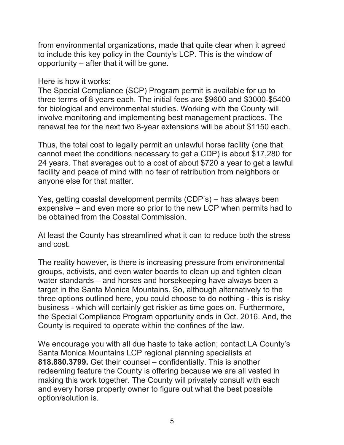from environmental organizations, made that quite clear when it agreed to include this key policy in the County's LCP. This is the window of opportunity – after that it will be gone.

### Here is how it works:

The Special Compliance (SCP) Program permit is available for up to three terms of 8 years each. The initial fees are \$9600 and \$3000-\$5400 for biological and environmental studies. Working with the County will involve monitoring and implementing best management practices. The renewal fee for the next two 8-year extensions will be about \$1150 each.

Thus, the total cost to legally permit an unlawful horse facility (one that cannot meet the conditions necessary to get a CDP) is about \$17,280 for 24 years. That averages out to a cost of about \$720 a year to get a lawful facility and peace of mind with no fear of retribution from neighbors or anyone else for that matter.

Yes, getting coastal development permits (CDP's) – has always been expensive – and even more so prior to the new LCP when permits had to be obtained from the Coastal Commission.

At least the County has streamlined what it can to reduce both the stress and cost.

The reality however, is there is increasing pressure from environmental groups, activists, and even water boards to clean up and tighten clean water standards – and horses and horsekeeping have always been a target in the Santa Monica Mountains. So, although alternatively to the three options outlined here, you could choose to do nothing - this is risky business - which will certainly get riskier as time goes on. Furthermore, the Special Compliance Program opportunity ends in Oct. 2016. And, the County is required to operate within the confines of the law.

We encourage you with all due haste to take action; contact LA County's Santa Monica Mountains LCP regional planning specialists at **818.880.3799.** Get their counsel – confidentially. This is another redeeming feature the County is offering because we are all vested in making this work together. The County will privately consult with each and every horse property owner to figure out what the best possible option/solution is.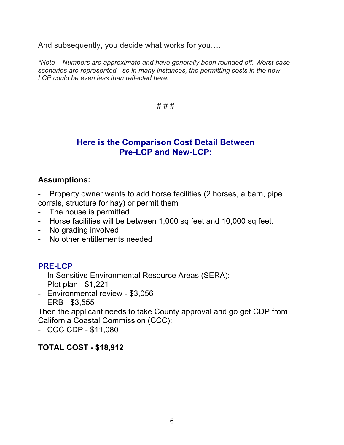And subsequently, you decide what works for you….

*\*Note – Numbers are approximate and have generally been rounded off. Worst-case scenarios are represented - so in many instances, the permitting costs in the new LCP could be even less than reflected here.* 

#### # # #

# **Here is the Comparison Cost Detail Between Pre-LCP and New-LCP:**

### **Assumptions:**

- Property owner wants to add horse facilities (2 horses, a barn, pipe corrals, structure for hay) or permit them
- The house is permitted
- Horse facilities will be between 1,000 sq feet and 10,000 sq feet.
- No grading involved
- No other entitlements needed

# **PRE-LCP**

- In Sensitive Environmental Resource Areas (SERA):
- Plot plan \$1,221
- Environmental review \$3,056
- ERB \$3,555

Then the applicant needs to take County approval and go get CDP from California Coastal Commission (CCC):

- CCC CDP - \$11,080

# **TOTAL COST - \$18,912**